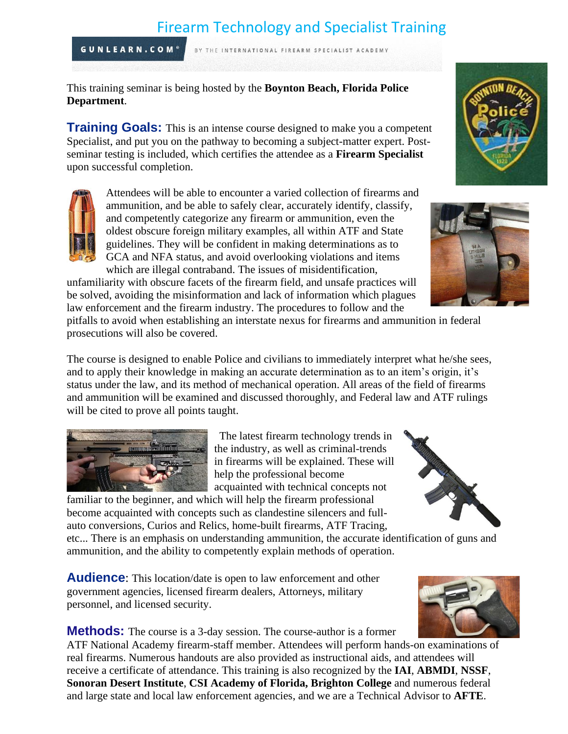# Firearm Technology and Specialist Training

BY THE INTERNATIONAL FIREARM SPECIALIST ACADEMY

**GUNLEARN.COM®** 

This training seminar is being hosted by the **Boynton Beach, Florida Police Department**.

**Training Goals:** This is an intense course designed to make you a competent Specialist, and put you on the pathway to becoming a subject-matter expert. Postseminar testing is included, which certifies the attendee as a **Firearm Specialist** upon successful completion.

Attendees will be able to encounter a varied collection of firearms and ammunition, and be able to safely clear, accurately identify, classify, and competently categorize any firearm or ammunition, even the oldest obscure foreign military examples, all within ATF and State guidelines. They will be confident in making determinations as to GCA and NFA status, and avoid overlooking violations and items which are illegal contraband. The issues of misidentification,

unfamiliarity with obscure facets of the firearm field, and unsafe practices will be solved, avoiding the misinformation and lack of information which plagues law enforcement and the firearm industry. The procedures to follow and the

pitfalls to avoid when establishing an interstate nexus for firearms and ammunition in federal prosecutions will also be covered.

The course is designed to enable Police and civilians to immediately interpret what he/she sees, and to apply their knowledge in making an accurate determination as to an item's origin, it's status under the law, and its method of mechanical operation. All areas of the field of firearms and ammunition will be examined and discussed thoroughly, and Federal law and ATF rulings will be cited to prove all points taught.



The latest firearm technology trends in the industry, as well as criminal-trends in firearms will be explained. These will help the professional become acquainted with technical concepts not

familiar to the beginner, and which will help the firearm professional become acquainted with concepts such as clandestine silencers and fullauto conversions, Curios and Relics, home-built firearms, ATF Tracing,

etc... There is an emphasis on understanding ammunition, the accurate identification of guns and ammunition, and the ability to competently explain methods of operation.

**Audience:** This location/date is open to law enforcement and other government agencies, licensed firearm dealers, Attorneys, military personnel, and licensed security.

**Methods:** The course is a 3-day session. The course-author is a former ATF National Academy firearm-staff member. Attendees will perform hands-on examinations of real firearms. Numerous handouts are also provided as instructional aids, and attendees will receive a certificate of attendance. This training is also recognized by the **IAI**, **ABMDI**, **NSSF**, **Sonoran Desert Institute**, **CSI Academy of Florida, Brighton College** and numerous federal and large state and local law enforcement agencies, and we are a Technical Advisor to **AFTE**.